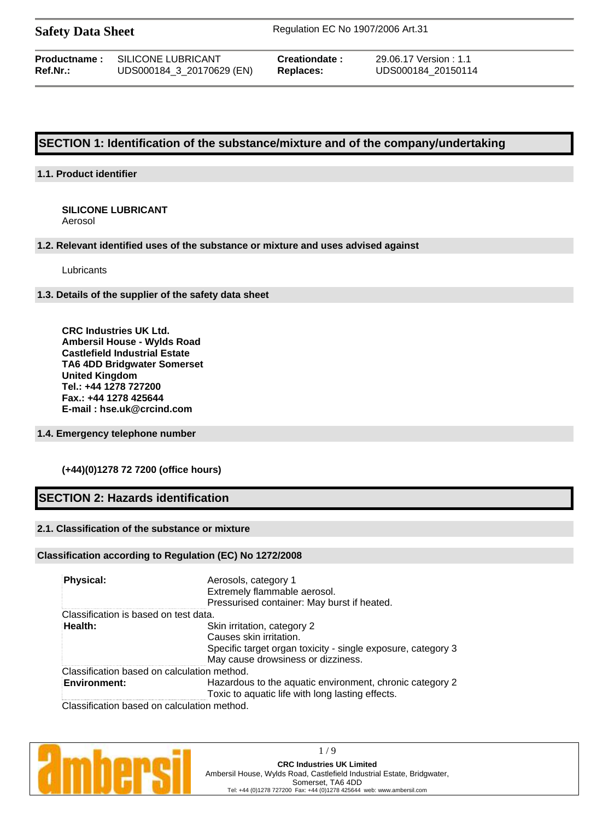**Safety Data Sheet** Regulation EC No 1907/2006 Art.31

| Productname : | SILICONE LUBRICANT        |
|---------------|---------------------------|
| Ref.Nr.:      | UDS000184_3_20170629 (EN) |

**Creationdate :** 29.06.17 Version : 1.1 **Replaces:** UDS000184 20150114

# **SECTION 1: Identification of the substance/mixture and of the company/undertaking**

### **1.1. Product identifier**

#### **SILICONE LUBRICANT** Aerosol

#### **1.2. Relevant identified uses of the substance or mixture and uses advised against**

Lubricants

#### **1.3. Details of the supplier of the safety data sheet**

**CRC Industries UK Ltd. Ambersil House - Wylds Road Castlefield Industrial Estate TA6 4DD Bridgwater Somerset United Kingdom Tel.: +44 1278 727200 Fax.: +44 1278 425644 E-mail : hse.uk@crcind.com**

#### **1.4. Emergency telephone number**

### **(+44)(0)1278 72 7200 (office hours)**

# **SECTION 2: Hazards identification**

### **2.1. Classification of the substance or mixture**

#### **Classification according to Regulation (EC) No 1272/2008**

| Physical:                                   | Aerosols, category 1<br>Extremely flammable aerosol.<br>Pressurised container: May burst if heated.                                                          |
|---------------------------------------------|--------------------------------------------------------------------------------------------------------------------------------------------------------------|
| Classification is based on test data.       |                                                                                                                                                              |
| Health:                                     | Skin irritation, category 2<br>Causes skin irritation.<br>Specific target organ toxicity - single exposure, category 3<br>May cause drowsiness or dizziness. |
| Classification based on calculation method. |                                                                                                                                                              |
| <b>Environment:</b>                         | Hazardous to the aquatic environment, chronic category 2<br>Toxic to aquatic life with long lasting effects.                                                 |
| Classification based on calculation method. |                                                                                                                                                              |

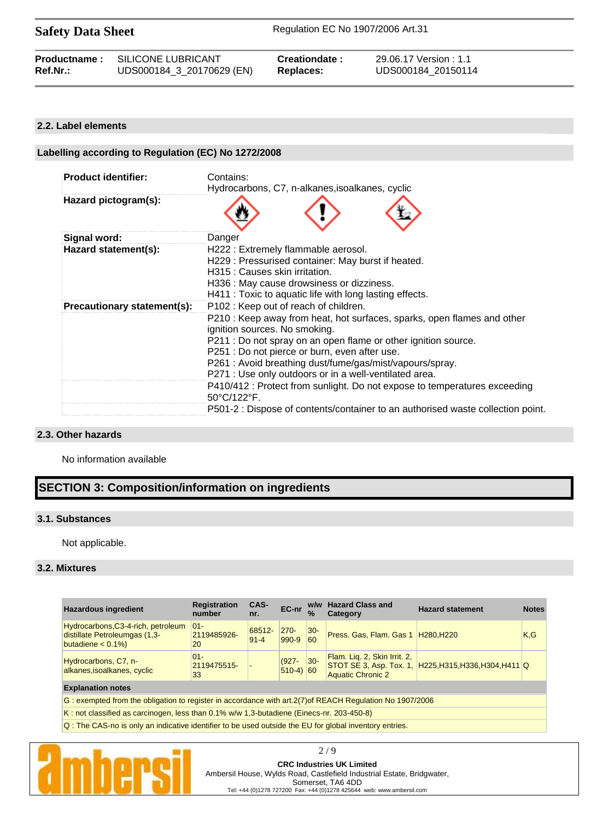Safety Data Sheet Regulation EC No 1907/2006 Art.31

| Ref.Nr.: | <b>Productname: SILICONE LUBRICANT</b> | Creationdate: | 29.06.17 Version : 1.1 |
|----------|----------------------------------------|---------------|------------------------|
|          | UDS000184_3_20170629 (EN)              | Replaces:     | UDS000184 20150114     |
|          |                                        |               |                        |

#### **2.2. Label elements**

| Labelling according to Regulation (EC) No 1272/2008 |                                                                                                                                                                                                                                                                                                                                                                                                                                                                                                                                                                                                                                                                                                                             |  |  |
|-----------------------------------------------------|-----------------------------------------------------------------------------------------------------------------------------------------------------------------------------------------------------------------------------------------------------------------------------------------------------------------------------------------------------------------------------------------------------------------------------------------------------------------------------------------------------------------------------------------------------------------------------------------------------------------------------------------------------------------------------------------------------------------------------|--|--|
| <b>Product identifier:</b>                          | Contains:<br>Hydrocarbons, C7, n-alkanes, isoalkanes, cyclic                                                                                                                                                                                                                                                                                                                                                                                                                                                                                                                                                                                                                                                                |  |  |
| Hazard pictogram(s):                                |                                                                                                                                                                                                                                                                                                                                                                                                                                                                                                                                                                                                                                                                                                                             |  |  |
| Signal word:                                        | Danger                                                                                                                                                                                                                                                                                                                                                                                                                                                                                                                                                                                                                                                                                                                      |  |  |
| Hazard statement(s):                                | H222 : Extremely flammable aerosol.<br>H229: Pressurised container: May burst if heated.<br>H315 : Causes skin irritation.<br>H336 : May cause drowsiness or dizziness.<br>H411 : Toxic to aquatic life with long lasting effects.<br>P102: Keep out of reach of children.<br>P210 : Keep away from heat, hot surfaces, sparks, open flames and other<br>ignition sources. No smoking.<br>P211 : Do not spray on an open flame or other ignition source.<br>P251 : Do not pierce or burn, even after use.<br>P261 : Avoid breathing dust/fume/gas/mist/vapours/spray.<br>P271 : Use only outdoors or in a well-ventilated area.<br>P410/412 : Protect from sunlight. Do not expose to temperatures exceeding<br>50°C/122°F. |  |  |
| Precautionary statement(s):                         |                                                                                                                                                                                                                                                                                                                                                                                                                                                                                                                                                                                                                                                                                                                             |  |  |
|                                                     | P501-2 : Dispose of contents/container to an authorised waste collection point.                                                                                                                                                                                                                                                                                                                                                                                                                                                                                                                                                                                                                                             |  |  |

#### **2.3. Other hazards**

No information available

# **SECTION 3: Composition/information on ingredients**

#### **3.1. Substances**

Not applicable.

#### **3.2. Mixtures**

| <b>Hazardous ingredient</b>                                                                              | <b>Registration</b><br>number | CAS-<br>nr.        | EC-nr                          | $\frac{9}{6}$ | w/w Hazard Class and<br><b>Category</b>                  | <b>Hazard statement</b>                                | <b>Notes</b> |
|----------------------------------------------------------------------------------------------------------|-------------------------------|--------------------|--------------------------------|---------------|----------------------------------------------------------|--------------------------------------------------------|--------------|
| Hydrocarbons, C3-4-rich, petroleum<br>distillate Petroleumgas (1,3-<br>butadiene $< 0.1\%$ )             | $ 01 -$<br>2119485926-<br>20  | 68512-<br>$91 - 4$ | $270 -$<br>990-9               | $ 30-$<br>60  | Press. Gas, Flam. Gas 1 H280, H220                       |                                                        | K,G          |
| Hydrocarbons, C7, n-<br>alkanes, isoalkanes, cyclic                                                      | $01 -$<br>2119475515-<br>33   |                    | $(927 -$<br>$ 510-4\rangle 60$ | $ 30-$        | Flam. Lig. 2, Skin Irrit. 2,<br><b>Aquatic Chronic 2</b> | STOT SE 3, Asp. Tox. 1, H225, H315, H336, H304, H411 Q |              |
| <b>Explanation notes</b>                                                                                 |                               |                    |                                |               |                                                          |                                                        |              |
| G: exempted from the obligation to register in accordance with art.2(7) of REACH Regulation No 1907/2006 |                               |                    |                                |               |                                                          |                                                        |              |

K : not classified as carcinogen, less than 0.1% w/w 1,3-butadiene (Einecs-nr. 203-450-8)

Q : The CAS-no is only an indicative identifier to be used outside the EU for global inventory entries.



2 / 9 **CRC Industries UK Limited**

Ambersil House, Wylds Road, Castlefield Industrial Estate, Bridgwater,

Somerset, TA6 4DD Tel: +44 (0)1278 727200 Fax: +44 (0)1278 425644 web: www.ambersil.com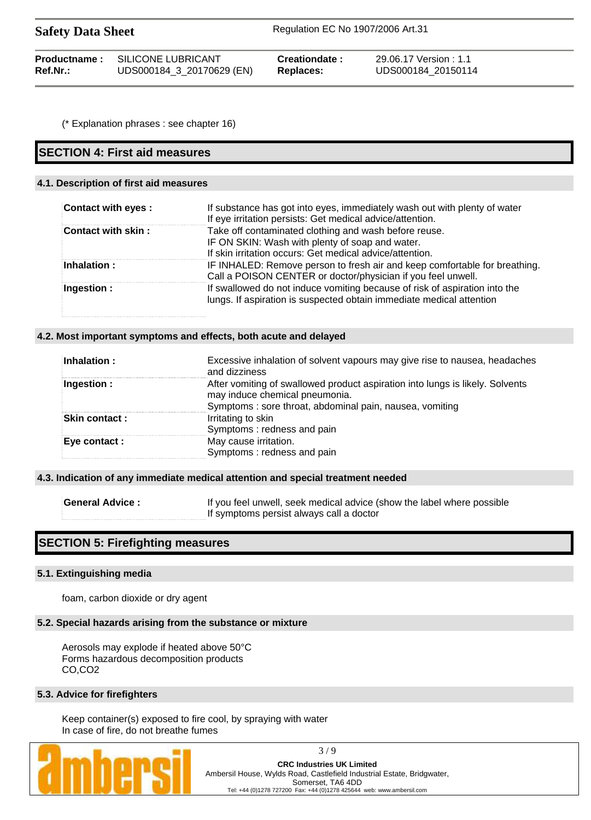| <b>Safety Data Sheet</b> | Regulation EC No 1907/2006 Art.31 |
|--------------------------|-----------------------------------|
|                          |                                   |

| Productname: | SILICONE LUBRICANT        | Creationdate: | 29.06.17 Version: 1.1 |
|--------------|---------------------------|---------------|-----------------------|
| Ref.Nr.:     | UDS000184_3_20170629 (EN) | Replaces:     | UDS000184 20150114    |

(\* Explanation phrases : see chapter 16)

# **SECTION 4: First aid measures**

## **4.1. Description of first aid measures**

| Contact with eyes : | If substance has got into eyes, immediately wash out with plenty of water<br>If eye irritation persists: Get medical advice/attention.                               |
|---------------------|----------------------------------------------------------------------------------------------------------------------------------------------------------------------|
| Contact with skin:  | Take off contaminated clothing and wash before reuse.<br>IF ON SKIN: Wash with plenty of soap and water.<br>If skin irritation occurs: Get medical advice/attention. |
| <b>Inhalation:</b>  | IF INHALED: Remove person to fresh air and keep comfortable for breathing.<br>Call a POISON CENTER or doctor/physician if you feel unwell.                           |
| Ingestion $:$       | If swallowed do not induce vomiting because of risk of aspiration into the<br>lungs. If aspiration is suspected obtain immediate medical attention                   |

#### **4.2. Most important symptoms and effects, both acute and delayed**

| $\mathsf{Inhalation:}$ | Excessive inhalation of solvent vapours may give rise to nausea, headaches<br>and dizziness                                                                                |
|------------------------|----------------------------------------------------------------------------------------------------------------------------------------------------------------------------|
| Ingestion :            | After vomiting of swallowed product aspiration into lungs is likely. Solvents<br>may induce chemical pneumonia.<br>Symptoms: sore throat, abdominal pain, nausea, vomiting |
| <b>Skin contact :</b>  | Irritating to skin<br>Symptoms: redness and pain                                                                                                                           |
| <b>Eve contact :</b>   | May cause irritation.<br>Symptoms: redness and pain                                                                                                                        |

#### **4.3. Indication of any immediate medical attention and special treatment needed**

**General Advice :** If you feel unwell, seek medical advice (show the label where possible If symptoms persist always call a doctor

# **SECTION 5: Firefighting measures**

#### **5.1. Extinguishing media**

foam, carbon dioxide or dry agent

#### **5.2. Special hazards arising from the substance or mixture**

Aerosols may explode if heated above 50°C Forms hazardous decomposition products CO,CO2

#### **5.3. Advice for firefighters**

Keep container(s) exposed to fire cool, by spraying with water In case of fire, do not breathe fumes



3 / 9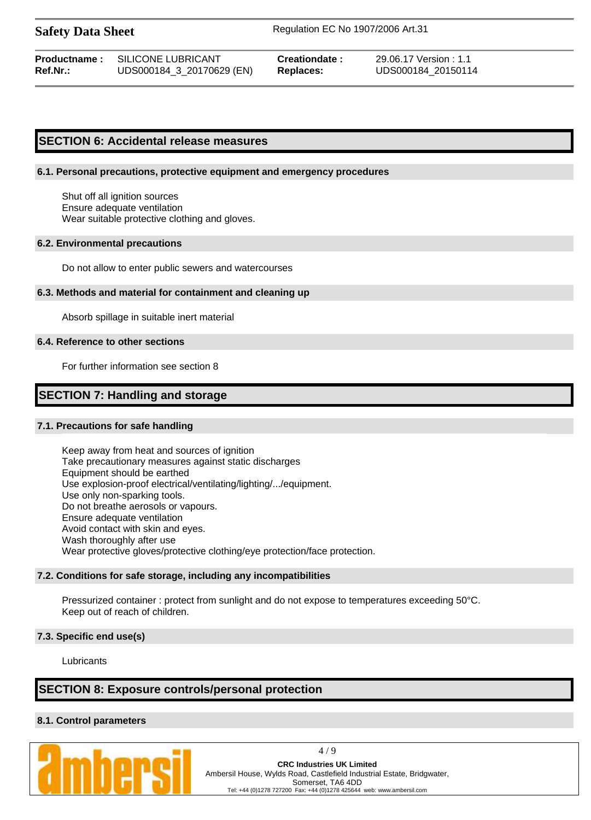**Safety Data Sheet** Regulation EC No 1907/2006 Art.31

### **SECTION 6: Accidental release measures**

#### **6.1. Personal precautions, protective equipment and emergency procedures**

Shut off all ignition sources Ensure adequate ventilation Wear suitable protective clothing and gloves.

#### **6.2. Environmental precautions**

Do not allow to enter public sewers and watercourses

#### **6.3. Methods and material for containment and cleaning up**

Absorb spillage in suitable inert material

#### **6.4. Reference to other sections**

For further information see section 8

# **SECTION 7: Handling and storage**

#### **7.1. Precautions for safe handling**

Keep away from heat and sources of ignition Take precautionary measures against static discharges Equipment should be earthed Use explosion-proof electrical/ventilating/lighting/.../equipment. Use only non-sparking tools. Do not breathe aerosols or vapours. Ensure adequate ventilation Avoid contact with skin and eyes. Wash thoroughly after use Wear protective gloves/protective clothing/eye protection/face protection.

#### **7.2. Conditions for safe storage, including any incompatibilities**

Pressurized container : protect from sunlight and do not expose to temperatures exceeding 50°C. Keep out of reach of children.

#### **7.3. Specific end use(s)**

Lubricants

# **SECTION 8: Exposure controls/personal protection**

#### **8.1. Control parameters**



4 / 9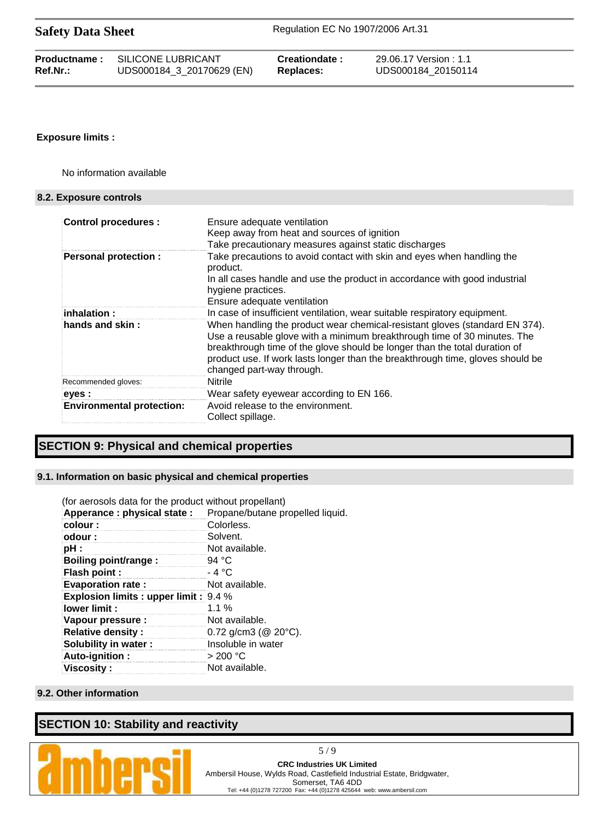| <b>Productname:</b> | SILICONE LUBRICANT        | Creationdate: | 29.06.17 Version : 1.1 |
|---------------------|---------------------------|---------------|------------------------|
| Ref.Nr.:            | UDS000184_3_20170629 (EN) | Replaces:     | UDS000184 20150114     |

#### **Exposure limits :**

No information available

#### **8.2. Exposure controls**

| <b>Control procedures:</b>       | Ensure adequate ventilation<br>Keep away from heat and sources of ignition<br>Take precautionary measures against static discharges                                                                                                                                                                                                                  |
|----------------------------------|------------------------------------------------------------------------------------------------------------------------------------------------------------------------------------------------------------------------------------------------------------------------------------------------------------------------------------------------------|
| <b>Personal protection:</b>      | Take precautions to avoid contact with skin and eyes when handling the<br>product.<br>In all cases handle and use the product in accordance with good industrial<br>hygiene practices.<br>Ensure adequate ventilation                                                                                                                                |
| inhalation :                     | In case of insufficient ventilation, wear suitable respiratory equipment.                                                                                                                                                                                                                                                                            |
| hands and skin:                  | When handling the product wear chemical-resistant gloves (standard EN 374).<br>Use a reusable glove with a minimum breakthrough time of 30 minutes. The<br>breakthrough time of the glove should be longer than the total duration of<br>product use. If work lasts longer than the breakthrough time, gloves should be<br>changed part-way through. |
| Recommended gloves:              | Nitrile                                                                                                                                                                                                                                                                                                                                              |
| eyes :                           | Wear safety eyewear according to EN 166.                                                                                                                                                                                                                                                                                                             |
| <b>Environmental protection:</b> | Avoid release to the environment.<br>Collect spillage.                                                                                                                                                                                                                                                                                               |

# **SECTION 9: Physical and chemical properties**

#### **9.1. Information on basic physical and chemical properties**

| (for aerosols data for the product without propellant) |                                  |
|--------------------------------------------------------|----------------------------------|
| Apperance : physical state :                           | Propane/butane propelled liquid. |
| colour:                                                | Colorless.                       |
| odour:                                                 | Solvent.                         |
| pH :                                                   | Not available.                   |
| Boiling point/range:                                   | 94 °C                            |
| <b>Flash point:</b>                                    | $-4 °C$                          |
| <b>Evaporation rate:</b>                               | Not available.                   |
| <b>Explosion limits : upper limit : 9.4 %</b>          |                                  |
| lower limit:                                           | $1.1\%$                          |
| Vapour pressure :                                      | Not available.                   |
| <b>Relative density:</b>                               | $0.72$ g/cm3 ( $@$ 20 $°C$ ).    |
| Solubility in water:                                   | Insoluble in water               |
| Auto-ignition:                                         | > 200 °C                         |
| <b>Viscosity :</b>                                     | Not available.                   |

### **9.2. Other information**

# **SECTION 10: Stability and reactivity**



**CRC Industries UK Limited** Ambersil House, Wylds Road, Castlefield Industrial Estate, Bridgwater, Somerset, TA6 4DD Tel: +44 (0)1278 727200 Fax: +44 (0)1278 425644 web: www.ambersil.com

5 / 9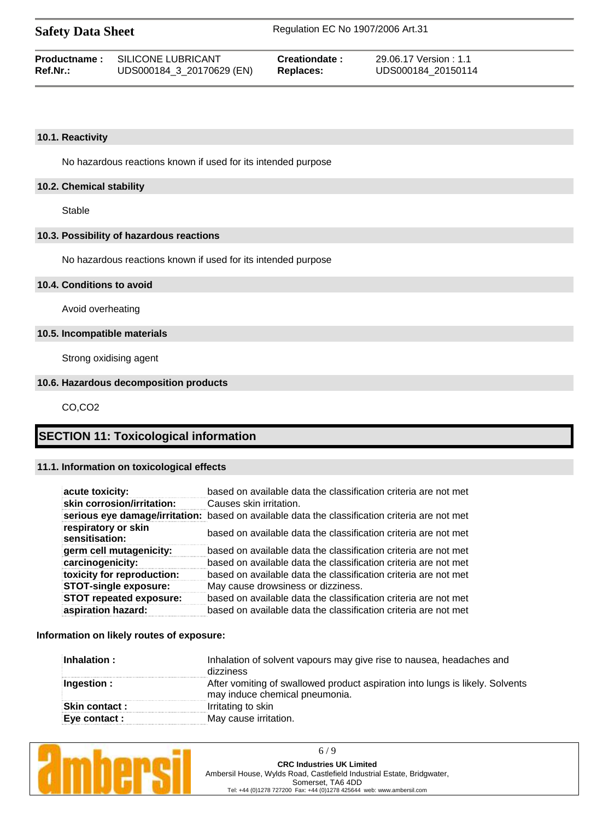| <b>Safety Data Sheet</b> |  |  |
|--------------------------|--|--|
|--------------------------|--|--|

|          | <b>Productname:</b> SILICONE LUBRICANT | Creationdate:    | 29.06.17 Version: 1.1 |
|----------|----------------------------------------|------------------|-----------------------|
| Ref.Nr.: | UDS000184_3_20170629 (EN)              | <b>Replaces:</b> | UDS000184 20150114    |

#### **10.1. Reactivity**

No hazardous reactions known if used for its intended purpose

#### **10.2. Chemical stability**

Stable

#### **10.3. Possibility of hazardous reactions**

No hazardous reactions known if used for its intended purpose

#### **10.4. Conditions to avoid**

Avoid overheating

#### **10.5. Incompatible materials**

Strong oxidising agent

#### **10.6. Hazardous decomposition products**

CO,CO2

# **SECTION 11: Toxicological information**

#### **11.1. Information on toxicological effects**

| acute toxicity:                       | based on available data the classification criteria are not met                                |
|---------------------------------------|------------------------------------------------------------------------------------------------|
| skin corrosion/irritation:            | Causes skin irritation.                                                                        |
|                                       | serious eye damage/irritation: based on available data the classification criteria are not met |
| respiratory or skin<br>sensitisation: | based on available data the classification criteria are not met                                |
| germ cell mutagenicity:               | based on available data the classification criteria are not met                                |
| carcinogenicity:                      | based on available data the classification criteria are not met                                |
| toxicity for reproduction:            | based on available data the classification criteria are not met                                |
| <b>STOT-single exposure:</b>          | May cause drowsiness or dizziness.                                                             |
| <b>STOT repeated exposure:</b>        | based on available data the classification criteria are not met                                |
| aspiration hazard:                    | based on available data the classification criteria are not met                                |

#### **Information on likely routes of exposure:**

| Inhalation of solvent vapours may give rise to nausea, headaches and<br>dizziness                               |
|-----------------------------------------------------------------------------------------------------------------|
| After vomiting of swallowed product aspiration into lungs is likely. Solvents<br>may induce chemical pneumonia. |
| Irritating to skin                                                                                              |
| May cause irritation.                                                                                           |
|                                                                                                                 |



6 / 9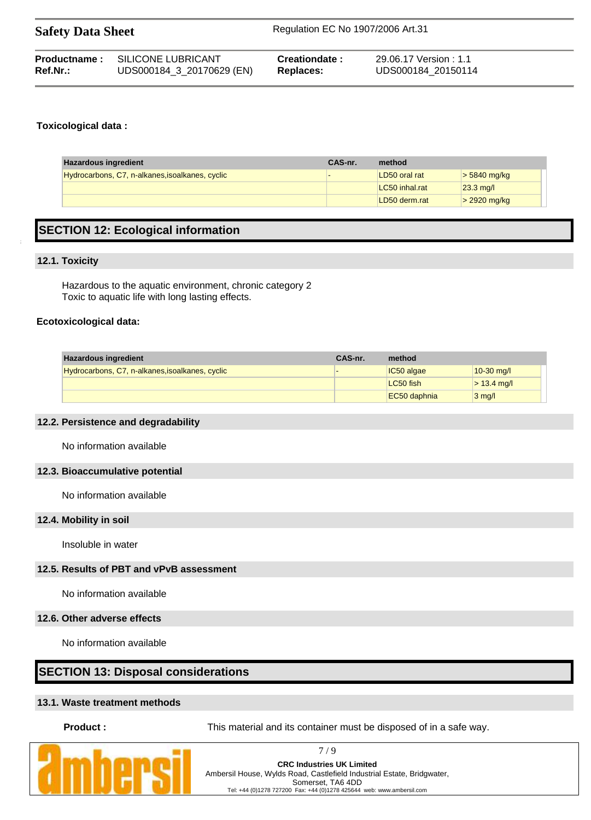| <b>Safety Data Sheet</b> |                           | Regulation EC No 1907/2006 Art.31 |                        |  |
|--------------------------|---------------------------|-----------------------------------|------------------------|--|
| Productname:             | SILICONE LUBRICANT        | Creationdate:                     | 29.06.17 Version : 1.1 |  |
| $Ref.Nr.$ :              | UDS000184_3_20170629 (EN) | <b>Replaces:</b>                  | UDS000184 20150114     |  |

#### **Toxicological data :**

| <b>Hazardous ingredient</b><br>CAS-nr.          |  | method         |                       |  |
|-------------------------------------------------|--|----------------|-----------------------|--|
| Hydrocarbons, C7, n-alkanes, isoalkanes, cyclic |  | LD50 oral rat  | $> 5840$ mg/kg        |  |
|                                                 |  | LC50 inhal.rat | $ 23.3 \text{ mg}/I $ |  |
|                                                 |  | LD50 derm.rat  | $> 2920$ mg/kg        |  |

# **SECTION 12: Ecological information**

#### **12.1. Toxicity**

Hazardous to the aquatic environment, chronic category 2 Toxic to aquatic life with long lasting effects.

#### **Ecotoxicological data:**

| <b>Hazardous ingredient</b>                     | CAS-nr. | method       |                  |
|-------------------------------------------------|---------|--------------|------------------|
| Hydrocarbons, C7, n-alkanes, isoalkanes, cyclic |         | IC50 algae   | $10-30$ mg/l     |
|                                                 |         | LC50 fish    | $> 13.4$ mg/l    |
|                                                 |         | EC50 daphnia | $3 \text{ mq/l}$ |

#### **12.2. Persistence and degradability**

No information available

#### **12.3. Bioaccumulative potential**

No information available

#### **12.4. Mobility in soil**

Insoluble in water

### **12.5. Results of PBT and vPvB assessment**

No information available

#### **12.6. Other adverse effects**

No information available

### **SECTION 13: Disposal considerations**

#### **13.1. Waste treatment methods**

**Product :** This material and its container must be disposed of in a safe way.

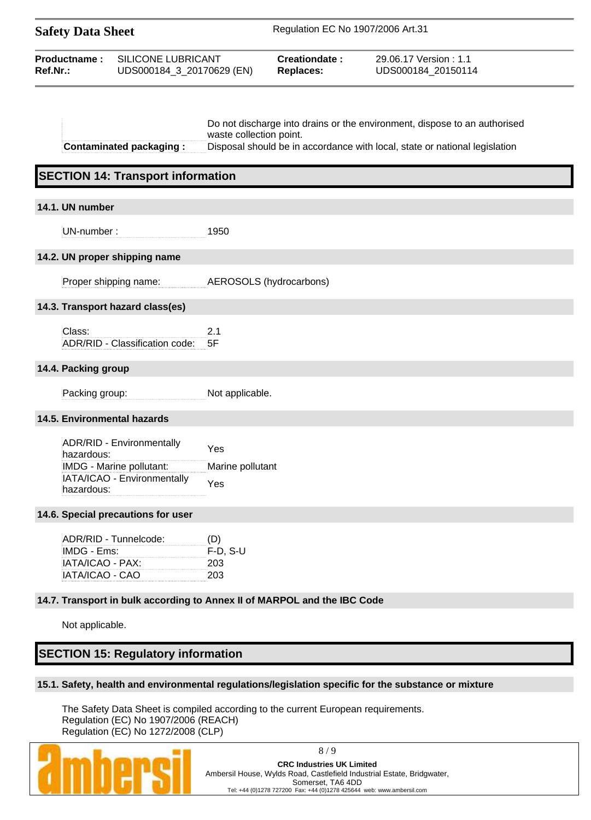| <b>Safety Data Sheet</b>                                                    |                                                                                      | Regulation EC No 1907/2006 Art.31 |                                                                          |                                                                                                                                                         |
|-----------------------------------------------------------------------------|--------------------------------------------------------------------------------------|-----------------------------------|--------------------------------------------------------------------------|---------------------------------------------------------------------------------------------------------------------------------------------------------|
| SILICONE LUBRICANT<br>Productname:<br>Ref.Nr.:<br>UDS000184_3_20170629 (EN) |                                                                                      |                                   | Creationdate:<br><b>Replaces:</b>                                        | 29.06.17 Version: 1.1<br>UDS000184_20150114                                                                                                             |
|                                                                             | <b>Contaminated packaging:</b><br><b>SECTION 14: Transport information</b>           | waste collection point.           |                                                                          | Do not discharge into drains or the environment, dispose to an authorised<br>Disposal should be in accordance with local, state or national legislation |
| 14.1. UN number                                                             |                                                                                      |                                   |                                                                          |                                                                                                                                                         |
| UN-number:                                                                  |                                                                                      | 1950                              |                                                                          |                                                                                                                                                         |
| 14.2. UN proper shipping name                                               |                                                                                      |                                   |                                                                          |                                                                                                                                                         |
|                                                                             | Proper shipping name:                                                                |                                   | AEROSOLS (hydrocarbons)                                                  |                                                                                                                                                         |
|                                                                             | 14.3. Transport hazard class(es)                                                     |                                   |                                                                          |                                                                                                                                                         |
| Class:                                                                      | ADR/RID - Classification code:                                                       | 2.1<br>5F                         |                                                                          |                                                                                                                                                         |
| 14.4. Packing group                                                         |                                                                                      |                                   |                                                                          |                                                                                                                                                         |
| Packing group:                                                              |                                                                                      | Not applicable.                   |                                                                          |                                                                                                                                                         |
| 14.5. Environmental hazards                                                 |                                                                                      |                                   |                                                                          |                                                                                                                                                         |
| hazardous:<br>hazardous:                                                    | ADR/RID - Environmentally<br>IMDG - Marine pollutant:<br>IATA/ICAO - Environmentally | Yes<br>Marine pollutant<br>Yes    |                                                                          |                                                                                                                                                         |
|                                                                             | 14.6. Special precautions for user                                                   |                                   |                                                                          |                                                                                                                                                         |
| IMDG - Ems:<br>IATA/ICAO - PAX:<br>IATA/ICAO - CAO                          | ADR/RID - Tunnelcode:                                                                | (D)<br>$F-D, S-U$<br>203<br>203   |                                                                          |                                                                                                                                                         |
|                                                                             |                                                                                      |                                   | 14.7. Transport in bulk according to Annex II of MARPOL and the IBC Code |                                                                                                                                                         |
| Not applicable.                                                             |                                                                                      |                                   |                                                                          |                                                                                                                                                         |
|                                                                             | <b>SECTION 15: Regulatory information</b>                                            |                                   |                                                                          |                                                                                                                                                         |
|                                                                             |                                                                                      |                                   |                                                                          |                                                                                                                                                         |

#### **15.1. Safety, health and environmental regulations/legislation specific for the substance or mixture**

The Safety Data Sheet is compiled according to the current European requirements. Regulation (EC) No 1907/2006 (REACH) Regulation (EC) No 1272/2008 (CLP)